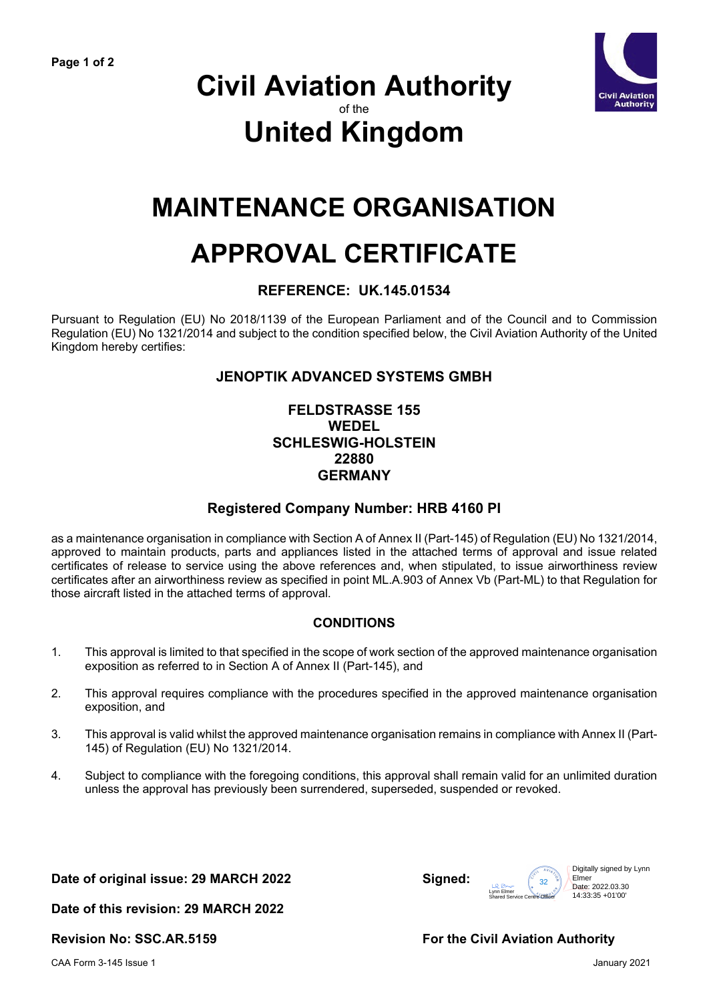

### **Civil Aviation Authority** of the **United Kingdom**

## **MAINTENANCE ORGANISATION**

# **APPROVAL CERTIFICATE**

#### **REFERENCE: UK.145.01534**

Pursuant to Regulation (EU) No 2018/1139 of the European Parliament and of the Council and to Commission Regulation (EU) No 1321/2014 and subject to the condition specified below, the Civil Aviation Authority of the United Kingdom hereby certifies:

#### **JENOPTIK ADVANCED SYSTEMS GMBH**

#### **FELDSTRASSE 155 WEDEL SCHLESWIG-HOLSTEIN 22880 GERMANY**

#### **Registered Company Number: HRB 4160 PI**

as a maintenance organisation in compliance with Section A of Annex II (Part-145) of Regulation (EU) No 1321/2014, approved to maintain products, parts and appliances listed in the attached terms of approval and issue related certificates of release to service using the above references and, when stipulated, to issue airworthiness review certificates after an airworthiness review as specified in point ML.A.903 of Annex Vb (Part-ML) to that Regulation for those aircraft listed in the attached terms of approval.

#### **CONDITIONS**

- 1. This approval is limited to that specified in the scope of work section of the approved maintenance organisation exposition as referred to in Section A of Annex II (Part-145), and
- 2. This approval requires compliance with the procedures specified in the approved maintenance organisation exposition, and
- 3. This approval is valid whilst the approved maintenance organisation remains in compliance with Annex II (Part-145) of Regulation (EU) No 1321/2014.
- 4. Subject to compliance with the foregoing conditions, this approval shall remain valid for an unlimited duration unless the approval has previously been surrendered, superseded, suspended or revoked.

**Date of original issue: 29 MARCH 2022 Signed:**



**Date of this revision: 29 MARCH 2022** 

**Revision No: SSC.AR.5159 For the Civil Aviation Authority**